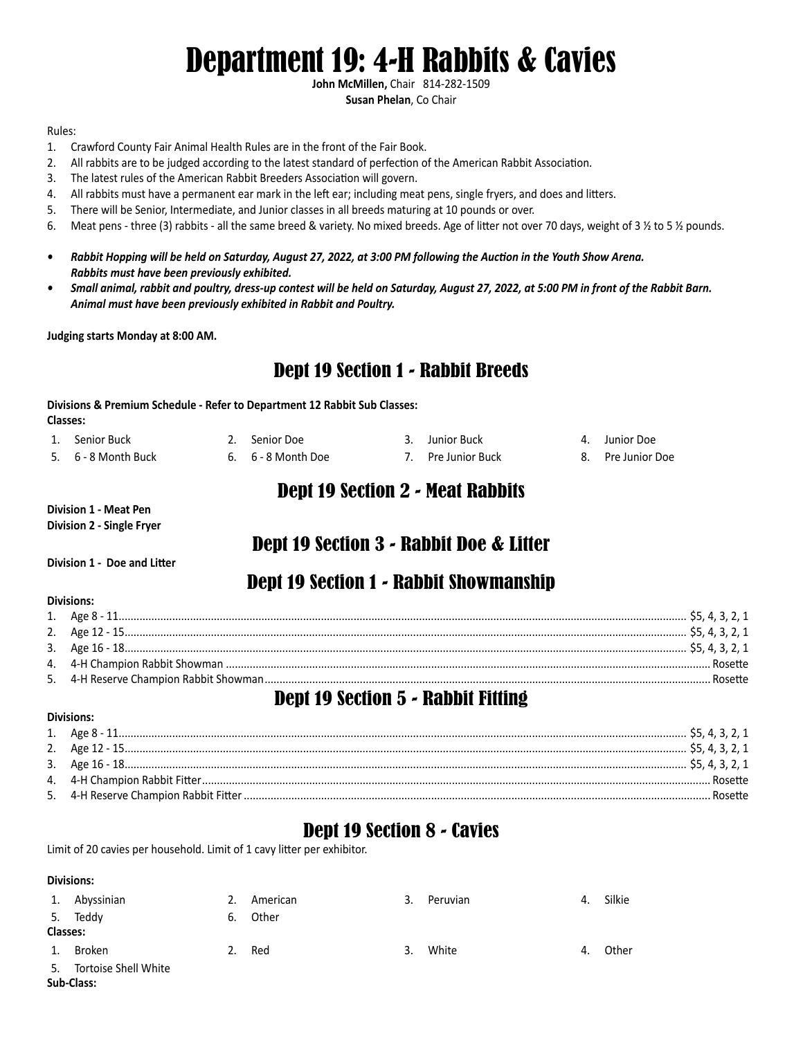# Department 19: 4-H Rabbits & Cavies

**John McMillen,** Chair 814-282-1509 **Susan Phelan**, Co Chair

#### Rules:

- 1. Crawford County Fair Animal Health Rules are in the front of the Fair Book.
- 2. All rabbits are to be judged according to the latest standard of perfection of the American Rabbit Association.
- 3. The latest rules of the American Rabbit Breeders Association will govern.
- 4. All rabbits must have a permanent ear mark in the left ear; including meat pens, single fryers, and does and litters.
- 5. There will be Senior, Intermediate, and Junior classes in all breeds maturing at 10 pounds or over.
- 6. Meat pens three (3) rabbits all the same breed & variety. No mixed breeds. Age of litter not over 70 days, weight of 3 1/2 to 5 1/2 pounds.
- *• Rabbit Hopping will be held on Saturday, August 27, 2022, at 3:00 PM following the Auction in the Youth Show Arena. Rabbits must have been previously exhibited.*
- *• Small animal, rabbit and poultry, dress-up contest will be held on Saturday, August 27, 2022, at 5:00 PM in front of the Rabbit Barn. Animal must have been previously exhibited in Rabbit and Poultry.*

**Judging starts Monday at 8:00 AM.**

### Dept 19 Section 1 - Rabbit Breeds

**Divisions & Premium Schedule - Refer to Department 12 Rabbit Sub Classes: Classes:**

| 1. Senior Buck      | 2. Senior Doe      | 3. Junior Buck     | 4. Junior Doe     |
|---------------------|--------------------|--------------------|-------------------|
| 5. 6 - 8 Month Buck | 6. 6 - 8 Month Doe | 7. Pre Junior Buck | 8. Pre Junior Doe |

#### Dept 19 Section 2 - Meat Rabbits

**Division 1 - Meat Pen Division 2 - Single Fryer**

### Dept 19 Section 3 - Rabbit Doe & Litter

**Division 1 - Doe and Litter**

#### Dept 19 Section 1 - Rabbit Showmanship

|  | .Rosette. |
|--|-----------|
|  | Rosette   |

#### Dept 19 Section 5 - Rabbit Fitting

#### **Divisions:**

**Divisions:** 

|  | Rosette |
|--|---------|
|  | Rosette |

#### Dept 19 Section 8 - Cavies

Limit of 20 cavies per household. Limit of 1 cavy litter per exhibitor.

#### **Divisions:**

|                 | Abyssinian           | 2. | American | 3. | Peruvian | 4. | Silkie |
|-----------------|----------------------|----|----------|----|----------|----|--------|
|                 | 5. Teddy             | 6. | Other    |    |          |    |        |
| <b>Classes:</b> |                      |    |          |    |          |    |        |
|                 | Broken               | 2. | Red      | ર  | White    | 4. | Other  |
| 5.              | Tortoise Shell White |    |          |    |          |    |        |
| Sub-Class:      |                      |    |          |    |          |    |        |